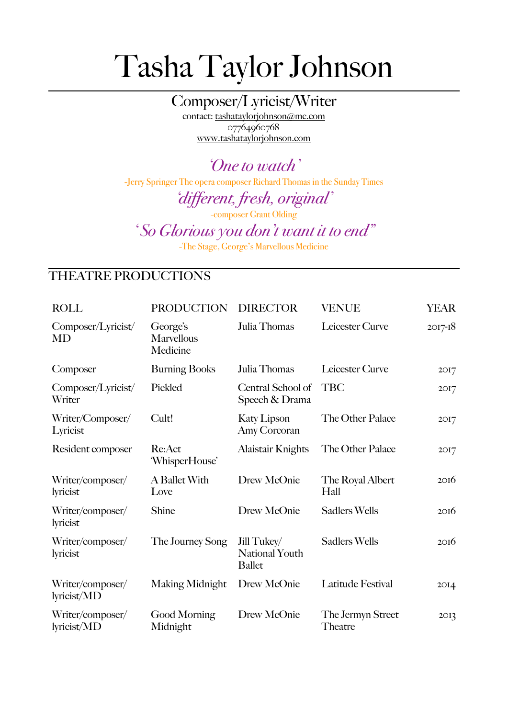## Tasha Taylor Johnson

Composer/Lyricist/Writer contact: [tashataylorjohnson@me.com](mailto:tashataylorjohnson@me.com) 07764960768 [www.tashataylorjohnson.com](http://www.tashataylorjohnson.com)

*'One to watch'* -Jerry Springer The opera composer Richard Thomas in the Sunday Times

*'different, fresh, original'* 

-composer Grant Olding

*' So Glorious you don't want it to end"* 

-The Stage, George's Marvellous Medicine

## THEATRE PRODUCTIONS

| <b>ROLL</b>                     | <b>PRODUCTION</b>                         | <b>DIRECTOR</b>                                       | <b>VENUE</b>                 | <b>YEAR</b>      |
|---------------------------------|-------------------------------------------|-------------------------------------------------------|------------------------------|------------------|
| Composer/Lyricist/<br>MD        | George's<br><b>Marvellous</b><br>Medicine | Julia Thomas                                          | Leicester Curve              | $2017 - 18$      |
| Composer                        | <b>Burning Books</b>                      | Julia Thomas                                          | Leicester Curve              | 2017             |
| Composer/Lyricist/<br>Writer    | Pickled                                   | Central School of<br>Speech & Drama                   | <b>TBC</b>                   | 2017             |
| Writer/Composer/<br>Lyricist    | Cult!                                     | <b>Katy Lipson</b><br>Amy Corcoran                    | The Other Palace             | 2017             |
| Resident composer               | Re:Act<br>'WhisperHouse'                  | <b>Alaistair Knights</b>                              | The Other Palace             | 2017             |
| Writer/composer/<br>lyricist    | A Ballet With<br>Love                     | Drew McOnie                                           | The Royal Albert<br>Hall     | 2016             |
| Writer/composer/<br>lyricist    | Shine                                     | Drew McOnie                                           | <b>Sadlers Wells</b>         | 2016             |
| Writer/composer/<br>lyricist    | The Journey Song                          | Jill Tukey/<br><b>National Youth</b><br><b>Ballet</b> | <b>Sadlers Wells</b>         | 2016             |
| Writer/composer/<br>lyricist/MD | Making Midnight                           | Drew McOnie                                           | Latitude Festival            | 2OI <sub>4</sub> |
| Writer/composer/<br>lyricist/MD | Good Morning<br>Midnight                  | Drew McOnie                                           | The Jermyn Street<br>Theatre | 2O <sub>13</sub> |